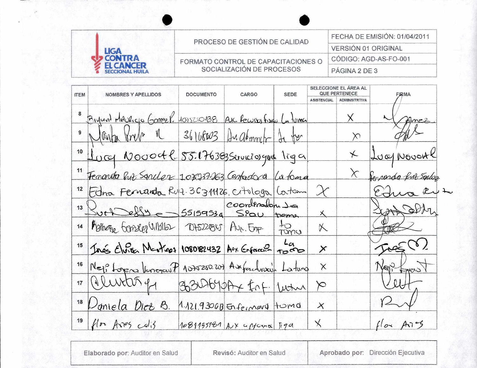|                        | PROCESO DE GESTIÓN DE CALIDAD       | FECHA DE EMISIÓN: 01/04/2011 |  |
|------------------------|-------------------------------------|------------------------------|--|
|                        |                                     | <b>VERSIÓN 01 ORIGINAL</b>   |  |
|                        | FORMATO CONTROL DE CAPACITACIONES O | CÓDIGO: AGD-AS-FO-001        |  |
| <b>SECCIONAL HUILA</b> | SOCIALIZACIÓN DE PROCESOS           | PÁGINA 2 DE 3                |  |

| <b>ITEM</b> | NOMBRES Y APELLIDOS                                            | <b>DOCUMENTO</b> | CARGO                      | <b>SEDE</b> | SELECCIONE EL AREA AL<br><b>QUE PERTENECE</b> |                      | FIRMA                |
|-------------|----------------------------------------------------------------|------------------|----------------------------|-------------|-----------------------------------------------|----------------------|----------------------|
|             |                                                                |                  |                            |             | <b>ASISTENCIAL</b>                            | <b>ADMINSITRTIVA</b> |                      |
|             | Bigunt MAURICIO Gomez P. 4075250438 Av. Rewise Fisique La tuma |                  |                            |             |                                               | $\times$             | Zunce                |
| 9           | lante vive a 36168003 Analominiti de ter                       |                  |                            |             |                                               | $\times$             |                      |
|             | 10 Lucy Novoetl 85.176383 Servicios que liga                   |                  |                            |             |                                               | $\star$              | Lucy Novort          |
| 11          | Fenanda Ruz Sanchez 108237263 Centradora La toma               |                  |                            |             |                                               | $\chi$               | Perpenda fut Salog   |
| 12          | Edna Fernanda Ruft. 36311176. citologa Catam                   |                  |                            |             | $\chi$                                        |                      |                      |
| 13          | Ruthelly - 55159534 Spau tome                                  |                  |                            |             |                                               |                      | with som             |
| 14          | Motheme Gonsen Villolla TOAS221845 Ave. Emp                    |                  |                            |             | X                                             |                      |                      |
| 15          | Inés Elvião Martinez 1080182432 Aox Enfanse Tomo               |                  |                            |             | $\times$                                      |                      | AC                   |
| 16          | Nej Loren Venezauf 107520.207 Auferchneit Latura               |                  |                            |             | $\times$                                      |                      | Neil                 |
| $17$        | Quinter of 3300-610Ax for lune                                 |                  |                            |             | $\approx$                                     |                      |                      |
| ${\bf 18}$  | Doniela Dict B.                                                |                  | 1.121.9306B Enferment Home |             | $\times$                                      |                      |                      |
| 19          | flow Aves $col3$                                               |                  | 1081155181 Aux appara 190  |             | $\overline{\mathsf{X}}$                       |                      | flox $Ar\rightarrow$ |

Elaborado por: Auditor en Salud